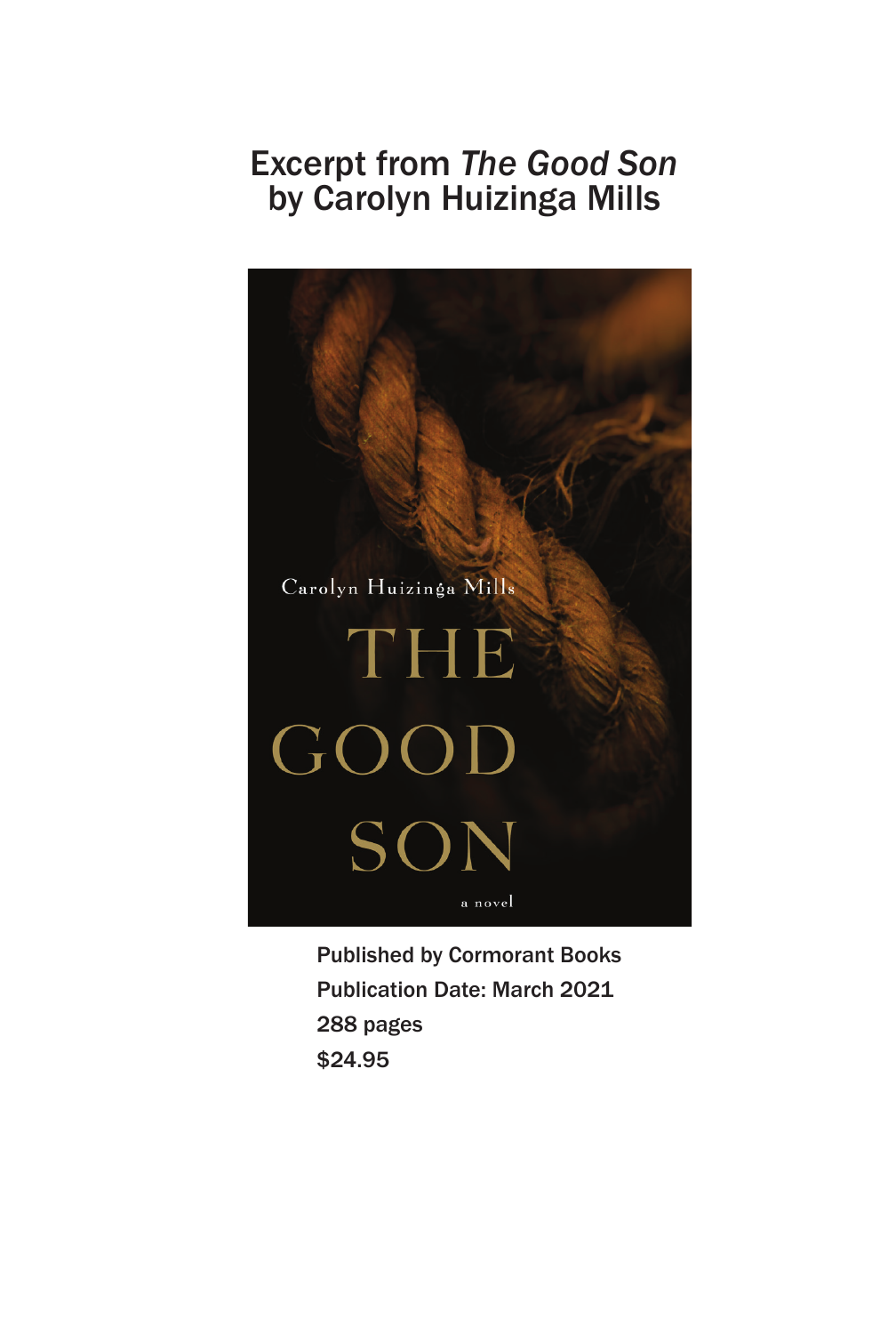## Excerpt from *The Good Son* by Carolyn Huizinga Mills



Published by Cormorant Books Publication Date: March 2021 288 pages \$24.95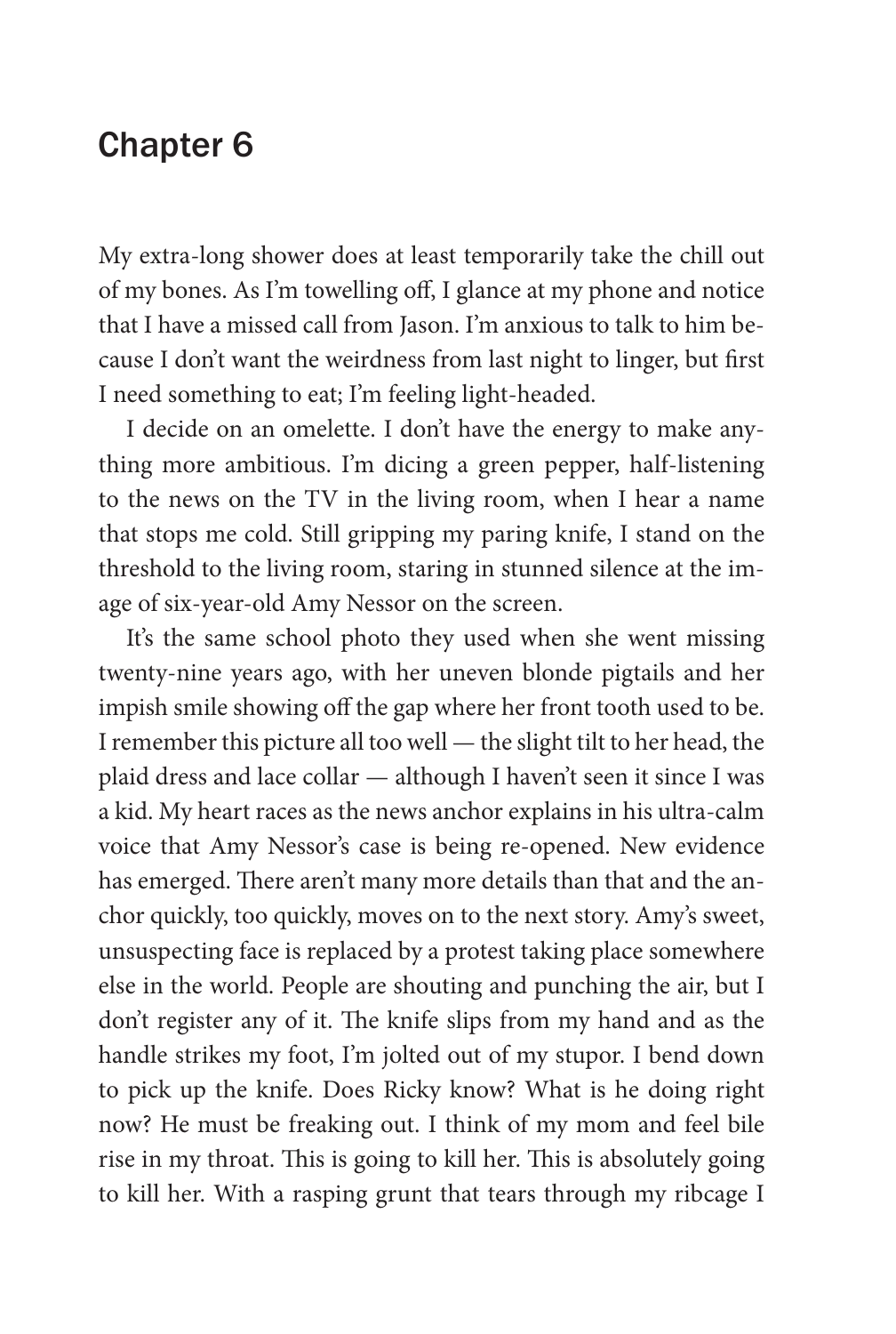## Chapter 6

My extra-long shower does at least temporarily take the chill out of my bones. As I'm towelling off, I glance at my phone and notice that I have a missed call from Jason. I'm anxious to talk to him because I don't want the weirdness from last night to linger, but first I need something to eat; I'm feeling light-headed.

I decide on an omelette. I don't have the energy to make anything more ambitious. I'm dicing a green pepper, half-listening to the news on the TV in the living room, when I hear a name that stops me cold. Still gripping my paring knife, I stand on the threshold to the living room, staring in stunned silence at the image of six-year-old Amy Nessor on the screen.

It's the same school photo they used when she went missing twenty-nine years ago, with her uneven blonde pigtails and her impish smile showing off the gap where her front tooth used to be. I remember this picture all too well — the slight tilt to her head, the plaid dress and lace collar — although I haven't seen it since I was a kid. My heart races as the news anchor explains in his ultra-calm voice that Amy Nessor's case is being re-opened. New evidence has emerged. There aren't many more details than that and the anchor quickly, too quickly, moves on to the next story. Amy's sweet, unsuspecting face is replaced by a protest taking place somewhere else in the world. People are shouting and punching the air, but I don't register any of it. The knife slips from my hand and as the handle strikes my foot, I'm jolted out of my stupor. I bend down to pick up the knife. Does Ricky know? What is he doing right now? He must be freaking out. I think of my mom and feel bile rise in my throat. This is going to kill her. This is absolutely going to kill her. With a rasping grunt that tears through my ribcage I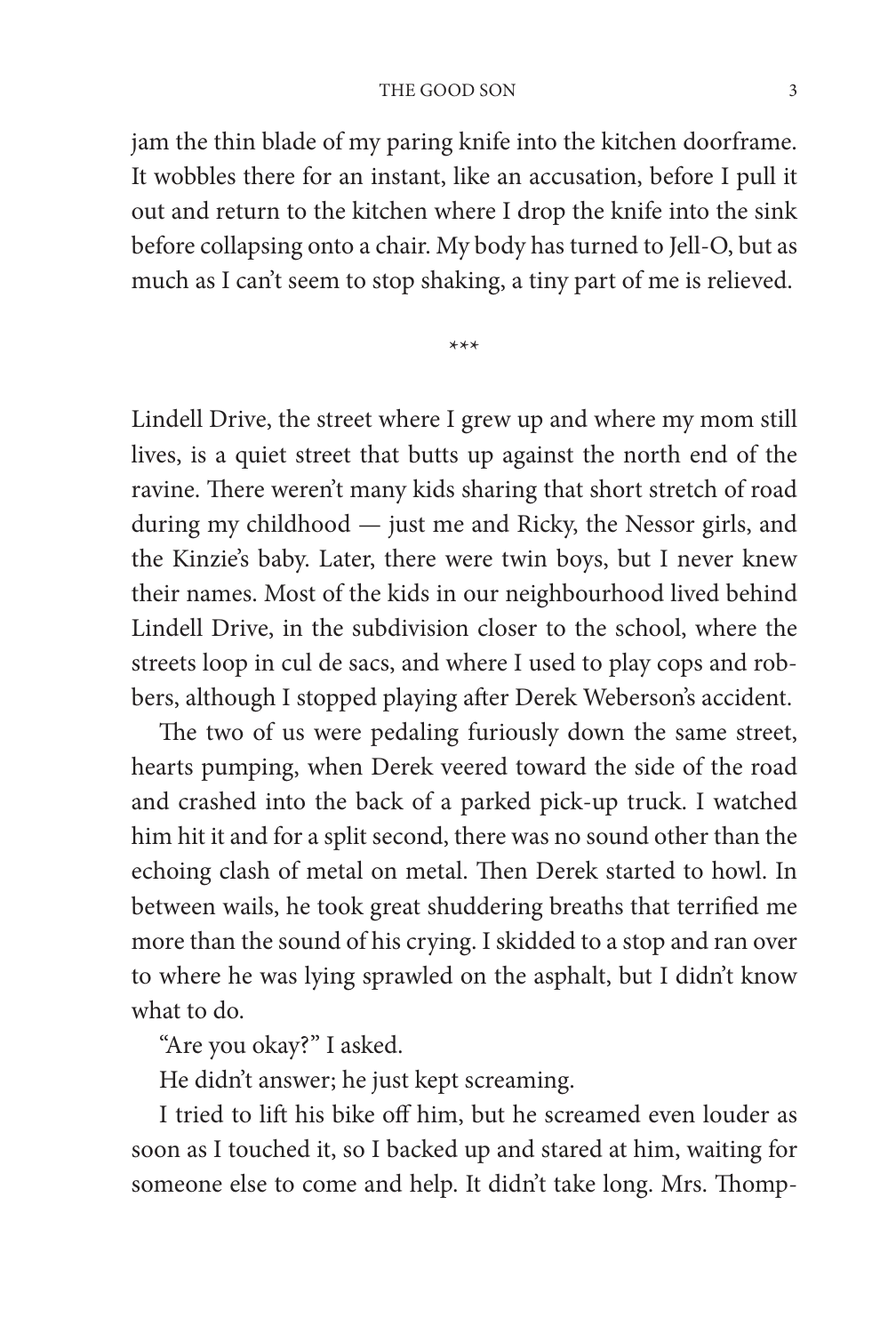## THE GOOD SON 3

jam the thin blade of my paring knife into the kitchen doorframe. It wobbles there for an instant, like an accusation, before I pull it out and return to the kitchen where I drop the knife into the sink before collapsing onto a chair. My body has turned to Jell-O, but as much as I can't seem to stop shaking, a tiny part of me is relieved.

\*\*\*

Lindell Drive, the street where I grew up and where my mom still lives, is a quiet street that butts up against the north end of the ravine. There weren't many kids sharing that short stretch of road during my childhood — just me and Ricky, the Nessor girls, and the Kinzie's baby. Later, there were twin boys, but I never knew their names. Most of the kids in our neighbourhood lived behind Lindell Drive, in the subdivision closer to the school, where the streets loop in cul de sacs, and where I used to play cops and robbers, although I stopped playing after Derek Weberson's accident.

The two of us were pedaling furiously down the same street, hearts pumping, when Derek veered toward the side of the road and crashed into the back of a parked pick-up truck. I watched him hit it and for a split second, there was no sound other than the echoing clash of metal on metal. Then Derek started to howl. In between wails, he took great shuddering breaths that terrified me more than the sound of his crying. I skidded to a stop and ran over to where he was lying sprawled on the asphalt, but I didn't know what to do.

"Are you okay?" I asked.

He didn't answer; he just kept screaming.

I tried to lift his bike off him, but he screamed even louder as soon as I touched it, so I backed up and stared at him, waiting for someone else to come and help. It didn't take long. Mrs. Thomp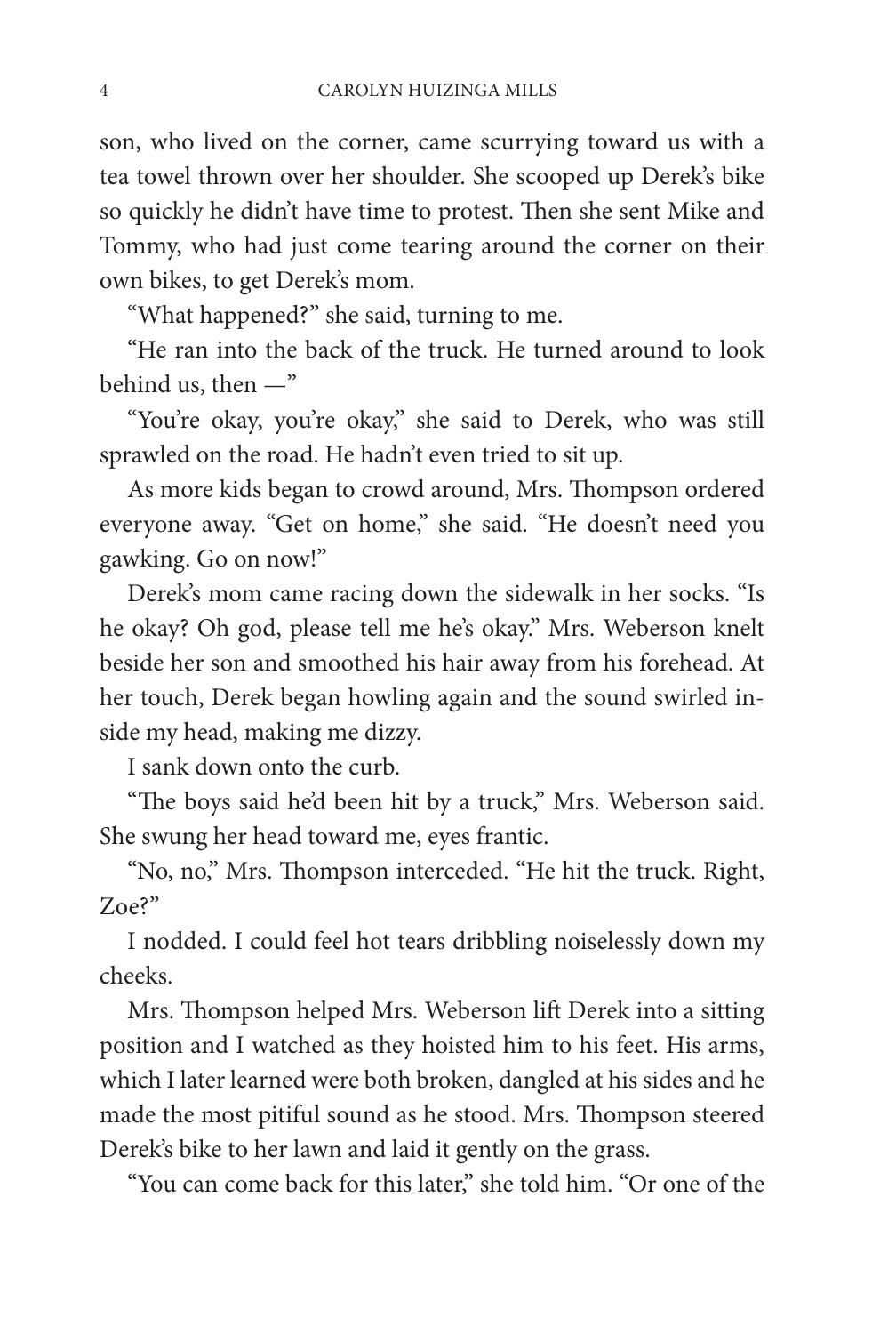son, who lived on the corner, came scurrying toward us with a tea towel thrown over her shoulder. She scooped up Derek's bike so quickly he didn't have time to protest. Then she sent Mike and Tommy, who had just come tearing around the corner on their own bikes, to get Derek's mom.

"What happened?" she said, turning to me.

"He ran into the back of the truck. He turned around to look behind us, then —"

"You're okay, you're okay," she said to Derek, who was still sprawled on the road. He hadn't even tried to sit up.

As more kids began to crowd around, Mrs. Thompson ordered everyone away. "Get on home," she said. "He doesn't need you gawking. Go on now!"

Derek's mom came racing down the sidewalk in her socks. "Is he okay? Oh god, please tell me he's okay." Mrs. Weberson knelt beside her son and smoothed his hair away from his forehead. At her touch, Derek began howling again and the sound swirled inside my head, making me dizzy.

I sank down onto the curb.

"The boys said he'd been hit by a truck," Mrs. Weberson said. She swung her head toward me, eyes frantic.

"No, no," Mrs. Thompson interceded. "He hit the truck. Right, Zoe?"

I nodded. I could feel hot tears dribbling noiselessly down my cheeks.

Mrs. Thompson helped Mrs. Weberson lift Derek into a sitting position and I watched as they hoisted him to his feet. His arms, which I later learned were both broken, dangled at his sides and he made the most pitiful sound as he stood. Mrs. Thompson steered Derek's bike to her lawn and laid it gently on the grass.

"You can come back for this later," she told him. "Or one of the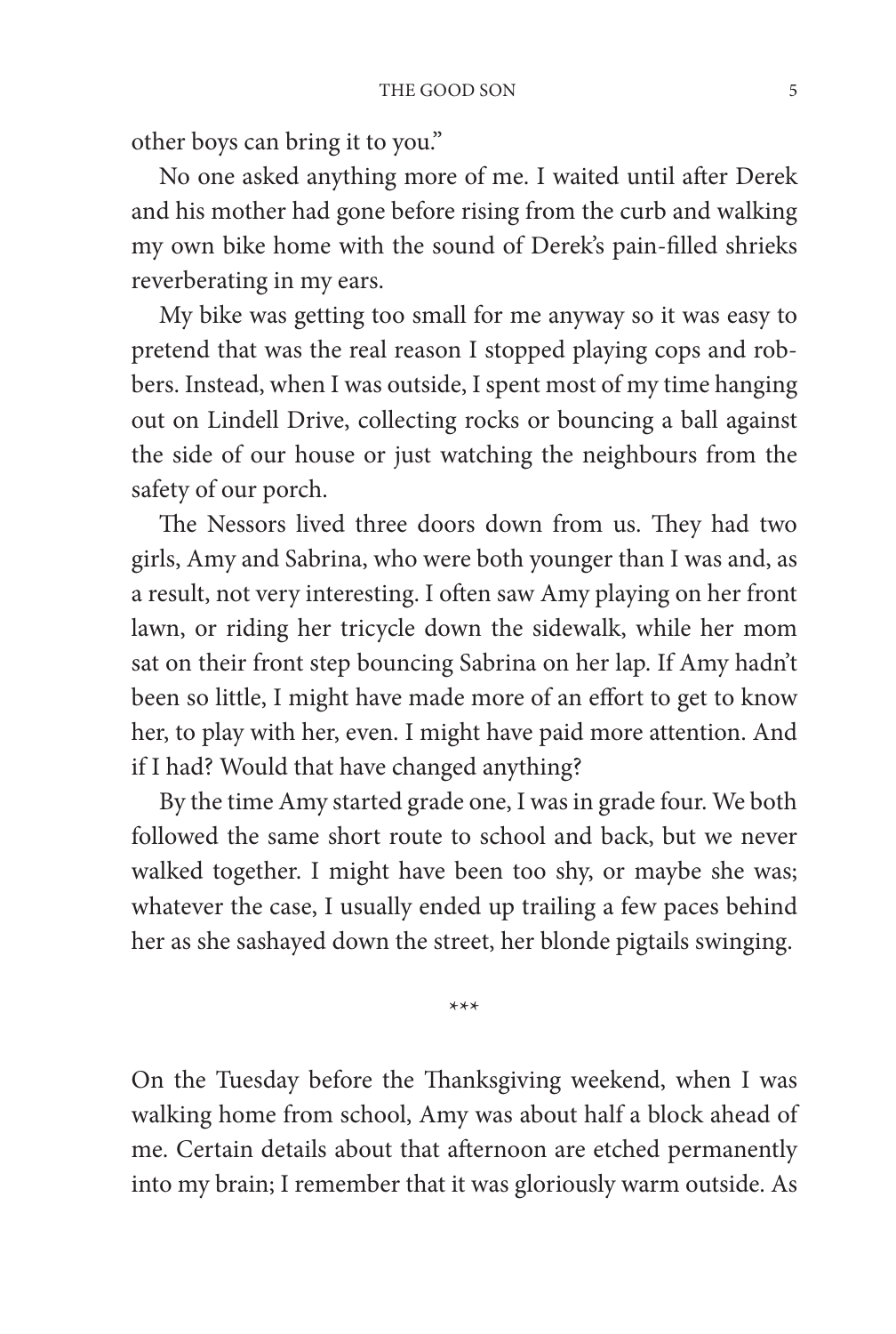other boys can bring it to you."

No one asked anything more of me. I waited until after Derek and his mother had gone before rising from the curb and walking my own bike home with the sound of Derek's pain-filled shrieks reverberating in my ears.

My bike was getting too small for me anyway so it was easy to pretend that was the real reason I stopped playing cops and robbers. Instead, when I was outside, I spent most of my time hanging out on Lindell Drive, collecting rocks or bouncing a ball against the side of our house or just watching the neighbours from the safety of our porch.

The Nessors lived three doors down from us. They had two girls, Amy and Sabrina, who were both younger than I was and, as a result, not very interesting. I often saw Amy playing on her front lawn, or riding her tricycle down the sidewalk, while her mom sat on their front step bouncing Sabrina on her lap. If Amy hadn't been so little, I might have made more of an effort to get to know her, to play with her, even. I might have paid more attention. And if I had? Would that have changed anything?

By the time Amy started grade one, I was in grade four. We both followed the same short route to school and back, but we never walked together. I might have been too shy, or maybe she was; whatever the case, I usually ended up trailing a few paces behind her as she sashayed down the street, her blonde pigtails swinging.

\*\*\*

On the Tuesday before the Thanksgiving weekend, when I was walking home from school, Amy was about half a block ahead of me. Certain details about that afternoon are etched permanently into my brain; I remember that it was gloriously warm outside. As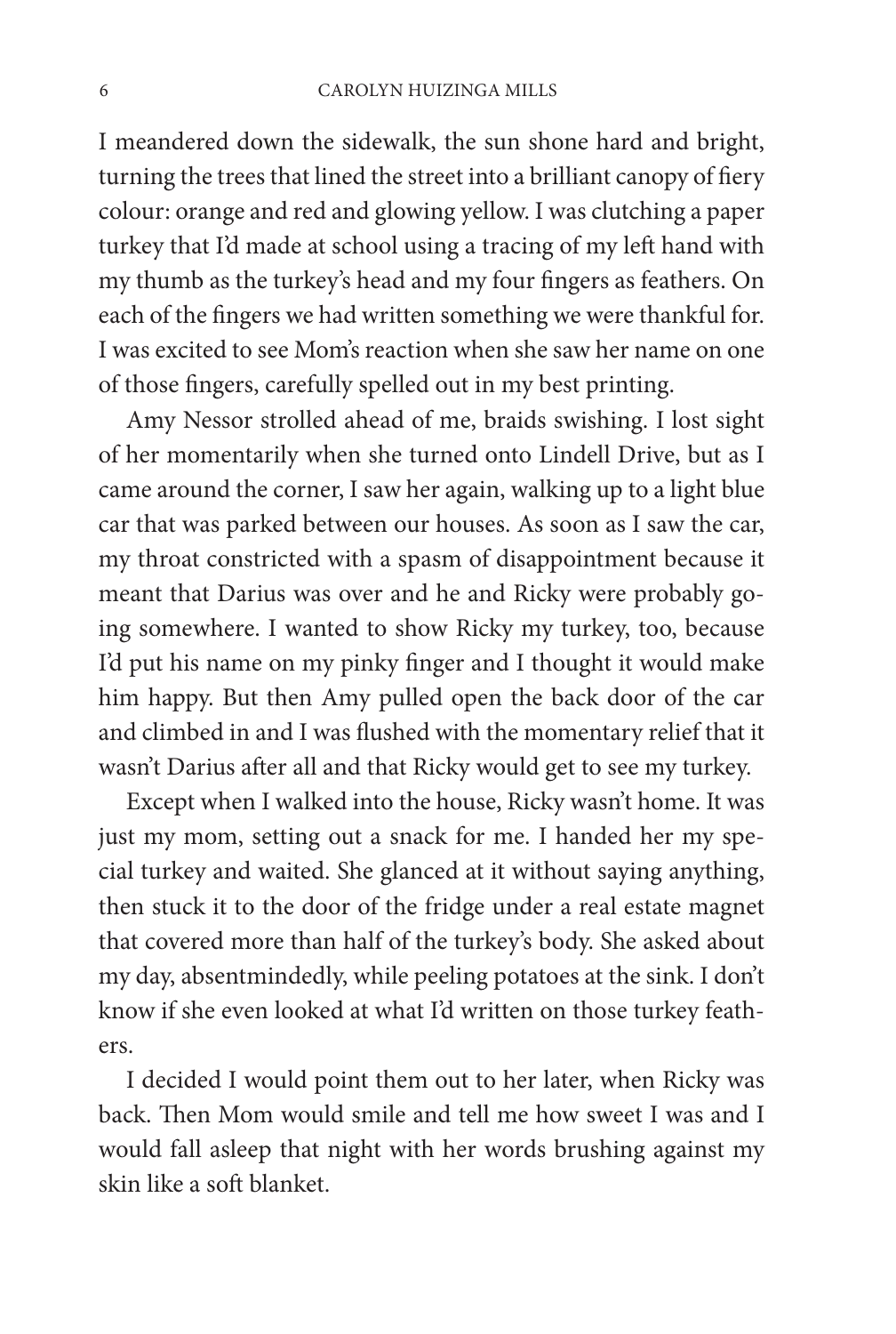I meandered down the sidewalk, the sun shone hard and bright, turning the trees that lined the street into a brilliant canopy of fiery colour: orange and red and glowing yellow. I was clutching a paper turkey that I'd made at school using a tracing of my left hand with my thumb as the turkey's head and my four fingers as feathers. On each of the fingers we had written something we were thankful for. I was excited to see Mom's reaction when she saw her name on one of those fingers, carefully spelled out in my best printing.

Amy Nessor strolled ahead of me, braids swishing. I lost sight of her momentarily when she turned onto Lindell Drive, but as I came around the corner, I saw her again, walking up to a light blue car that was parked between our houses. As soon as I saw the car, my throat constricted with a spasm of disappointment because it meant that Darius was over and he and Ricky were probably going somewhere. I wanted to show Ricky my turkey, too, because I'd put his name on my pinky finger and I thought it would make him happy. But then Amy pulled open the back door of the car and climbed in and I was flushed with the momentary relief that it wasn't Darius after all and that Ricky would get to see my turkey.

Except when I walked into the house, Ricky wasn't home. It was just my mom, setting out a snack for me. I handed her my special turkey and waited. She glanced at it without saying anything, then stuck it to the door of the fridge under a real estate magnet that covered more than half of the turkey's body. She asked about my day, absentmindedly, while peeling potatoes at the sink. I don't know if she even looked at what I'd written on those turkey feathers.

I decided I would point them out to her later, when Ricky was back. Then Mom would smile and tell me how sweet I was and I would fall asleep that night with her words brushing against my skin like a soft blanket.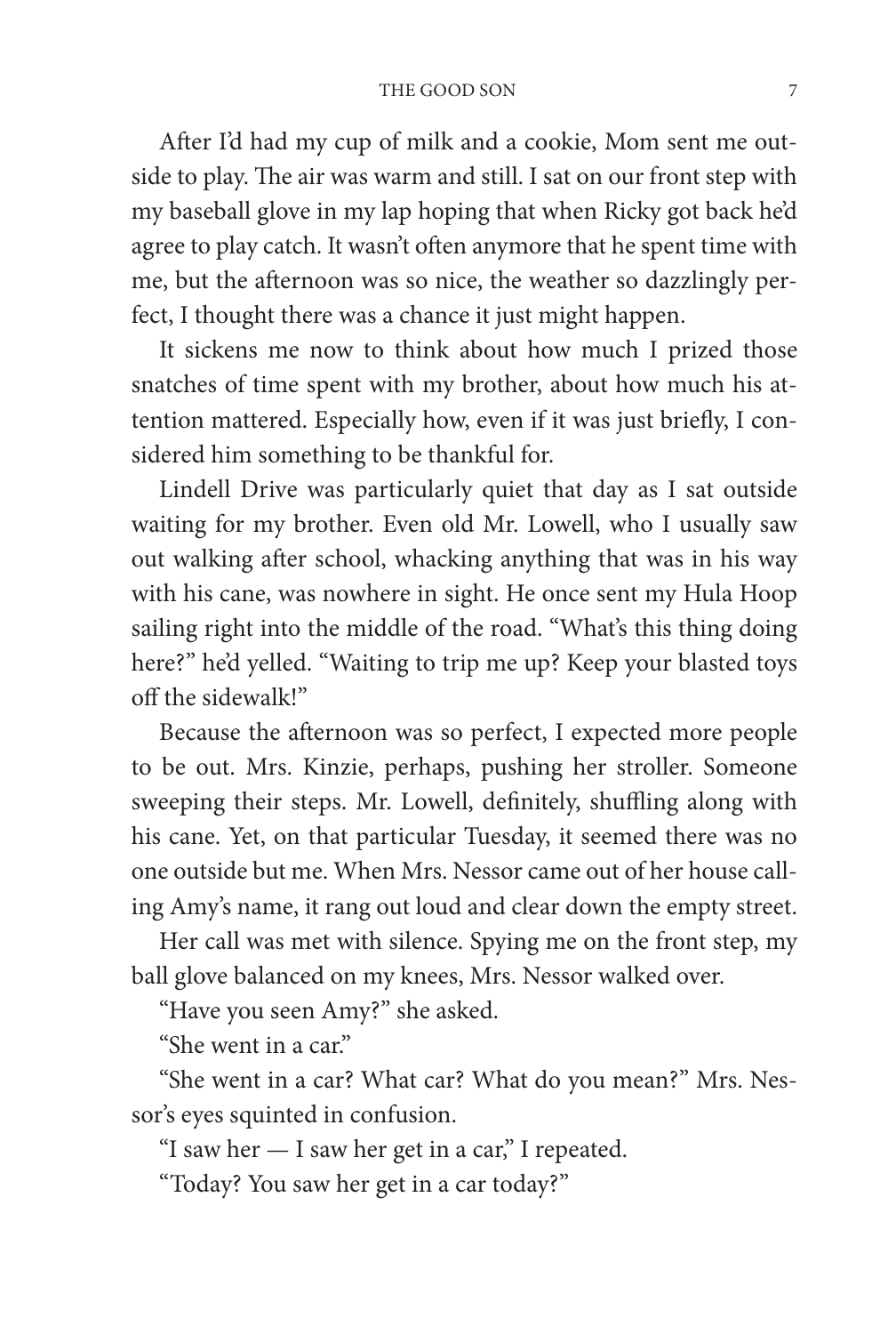## THE GOOD SON 7

After I'd had my cup of milk and a cookie, Mom sent me outside to play. The air was warm and still. I sat on our front step with my baseball glove in my lap hoping that when Ricky got back he'd agree to play catch. It wasn't often anymore that he spent time with me, but the afternoon was so nice, the weather so dazzlingly perfect, I thought there was a chance it just might happen.

It sickens me now to think about how much I prized those snatches of time spent with my brother, about how much his attention mattered. Especially how, even if it was just briefly, I considered him something to be thankful for.

Lindell Drive was particularly quiet that day as I sat outside waiting for my brother. Even old Mr. Lowell, who I usually saw out walking after school, whacking anything that was in his way with his cane, was nowhere in sight. He once sent my Hula Hoop sailing right into the middle of the road. "What's this thing doing here?" he'd yelled. "Waiting to trip me up? Keep your blasted toys off the sidewalk!"

Because the afternoon was so perfect, I expected more people to be out. Mrs. Kinzie, perhaps, pushing her stroller. Someone sweeping their steps. Mr. Lowell, definitely, shuffling along with his cane. Yet, on that particular Tuesday, it seemed there was no one outside but me. When Mrs. Nessor came out of her house calling Amy's name, it rang out loud and clear down the empty street.

Her call was met with silence. Spying me on the front step, my ball glove balanced on my knees, Mrs. Nessor walked over.

"Have you seen Amy?" she asked.

"She went in a car."

"She went in a car? What car? What do you mean?" Mrs. Nessor's eyes squinted in confusion.

"I saw her — I saw her get in a car," I repeated.

"Today? You saw her get in a car today?"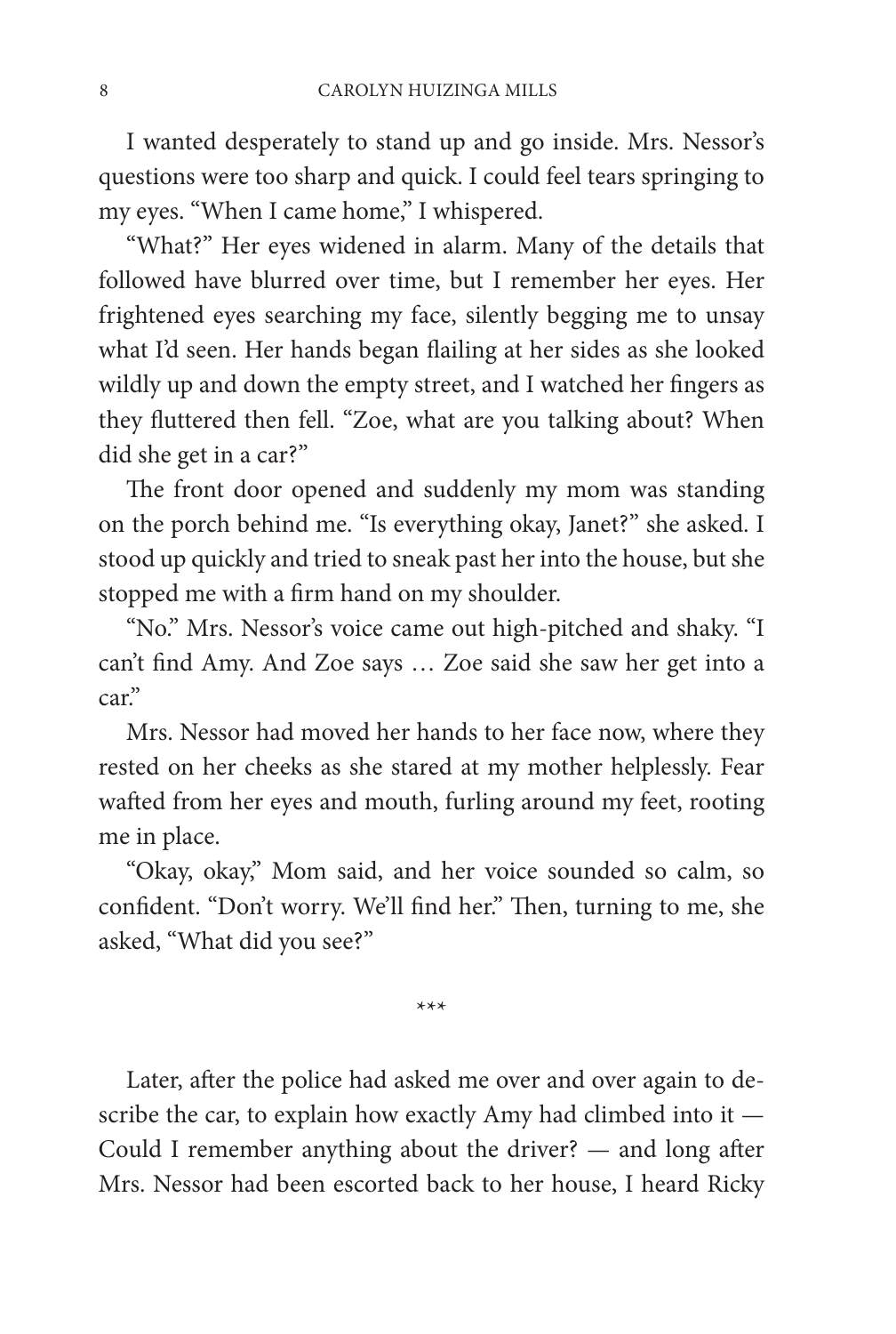I wanted desperately to stand up and go inside. Mrs. Nessor's questions were too sharp and quick. I could feel tears springing to my eyes. "When I came home," I whispered.

"What?" Her eyes widened in alarm. Many of the details that followed have blurred over time, but I remember her eyes. Her frightened eyes searching my face, silently begging me to unsay what I'd seen. Her hands began flailing at her sides as she looked wildly up and down the empty street, and I watched her fingers as they fluttered then fell. "Zoe, what are you talking about? When did she get in a car?"

The front door opened and suddenly my mom was standing on the porch behind me. "Is everything okay, Janet?" she asked. I stood up quickly and tried to sneak past her into the house, but she stopped me with a firm hand on my shoulder.

"No." Mrs. Nessor's voice came out high-pitched and shaky. "I can't find Amy. And Zoe says … Zoe said she saw her get into a car."

Mrs. Nessor had moved her hands to her face now, where they rested on her cheeks as she stared at my mother helplessly. Fear wafted from her eyes and mouth, furling around my feet, rooting me in place.

"Okay, okay," Mom said, and her voice sounded so calm, so confident. "Don't worry. We'll find her." Then, turning to me, she asked, "What did you see?"

\*\*\*

Later, after the police had asked me over and over again to describe the car, to explain how exactly Amy had climbed into it — Could I remember anything about the driver? — and long after Mrs. Nessor had been escorted back to her house, I heard Ricky